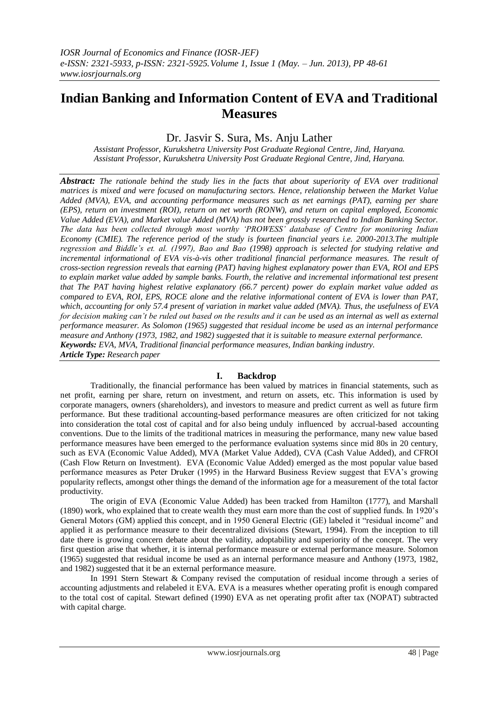# **Indian Banking and Information Content of EVA and Traditional Measures**

## Dr. Jasvir S. Sura, Ms. Anju Lather

*Assistant Professor, Kurukshetra University Post Graduate Regional Centre, Jind, Haryana. Assistant Professor, Kurukshetra University Post Graduate Regional Centre, Jind, Haryana.*

*Abstract: The rationale behind the study lies in the facts that about superiority of EVA over traditional matrices is mixed and were focused on manufacturing sectors. Hence, relationship between the Market Value Added (MVA), EVA, and accounting performance measures such as net earnings (PAT), earning per share (EPS), return on investment (ROI), return on net worth (RONW), and return on capital employed, Economic Value Added (EVA), and Market value Added (MVA) has not been grossly researched to Indian Banking Sector. The data has been collected through most worthy 'PROWESS' database of Centre for monitoring Indian Economy (CMIE). The reference period of the study is fourteen financial years i.e. 2000-2013.The multiple regression and Biddle's et. al. (1997), Bao and Bao (1998) approach is selected for studying relative and incremental informational of EVA vis-à-vis other traditional financial performance measures. The result of cross-section regression reveals that earning (PAT) having highest explanatory power than EVA, ROI and EPS to explain market value added by sample banks. Fourth, the relative and incremental informational test present that The PAT having highest relative explanatory (66.7 percent) power do explain market value added as compared to EVA, ROI, EPS, ROCE alone and the relative informational content of EVA is lower than PAT, which, accounting for only 57.4 present of variation in market value added (MVA). Thus, the usefulness of EVA*  for decision making can't be ruled out based on the results and it can be used as an internal as well as external *performance measurer. As Solomon (1965) suggested that residual income be used as an internal performance measure and Anthony (1973, 1982, and 1982) suggested that it is suitable to measure external performance. Keywords: EVA, MVA, Traditional financial performance measures, Indian banking industry. Article Type: Research paper*

### **I. Backdrop**

Traditionally, the financial performance has been valued by matrices in financial statements, such as net profit, earning per share, return on investment, and return on assets, etc. This information is used by corporate managers, owners (shareholders), and investors to measure and predict current as well as future firm performance. But these traditional accounting-based performance measures are often criticized for not taking into consideration the total cost of capital and for also being unduly influenced by accrual-based accounting conventions. Due to the limits of the traditional matrices in measuring the performance, many new value based performance measures have been emerged to the performance evaluation systems since mid 80s in 20 century, such as EVA (Economic Value Added), MVA (Market Value Added), CVA (Cash Value Added), and CFROI (Cash Flow Return on Investment). EVA (Economic Value Added) emerged as the most popular value based performance measures as Peter Druker (1995) in the Harward Business Review suggest that EVA's growing popularity reflects, amongst other things the demand of the information age for a measurement of the total factor productivity.

The origin of EVA (Economic Value Added) has been tracked from Hamilton (1777), and Marshall (1890) work, who explained that to create wealth they must earn more than the cost of supplied funds. In 1920's General Motors (GM) applied this concept, and in 1950 General Electric (GE) labeled it "residual income" and applied it as performance measure to their decentralized divisions (Stewart, 1994). From the inception to till date there is growing concern debate about the validity, adoptability and superiority of the concept. The very first question arise that whether, it is internal performance measure or external performance measure. Solomon (1965) suggested that residual income be used as an internal performance measure and Anthony (1973, 1982, and 1982) suggested that it be an external performance measure.

In 1991 Stern Stewart & Company revised the computation of residual income through a series of accounting adjustments and relabeled it EVA. EVA is a measures whether operating profit is enough compared to the total cost of capital. Stewart defined (1990) EVA as net operating profit after tax (NOPAT) subtracted with capital charge.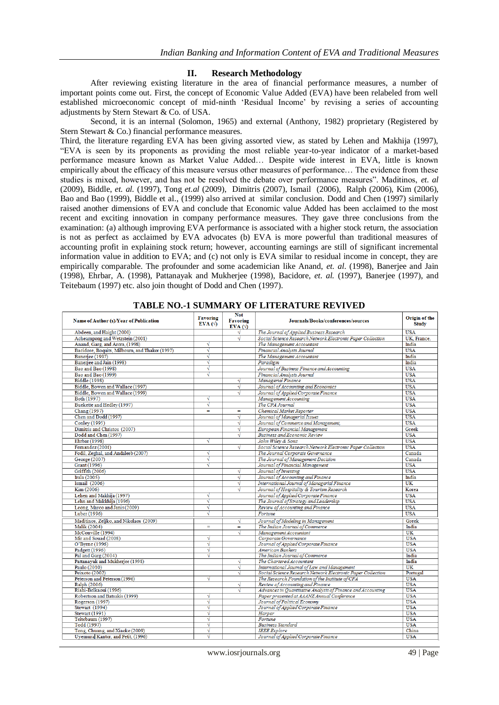### **II. Research Methodology**

After reviewing existing literature in the area of financial performance measures, a number of important points come out. First, the concept of Economic Value Added (EVA) have been relabeled from well established microeconomic concept of mid-ninth 'Residual Income' by revising a series of accounting adjustments by Stern Stewart & Co. of USA.

Second, it is an internal (Solomon, 1965) and external (Anthony, 1982) proprietary (Registered by Stern Stewart & Co.) financial performance measures.

Third, the literature regarding EVA has been giving assorted view, as stated by Lehen and Makhija (1997), ―EVA is seen by its proponents as providing the most reliable year-to-year indicator of a market-based performance measure known as Market Value Added… Despite wide interest in EVA, little is known empirically about the efficacy of this measure versus other measures of performance... The evidence from these studies is mixed, however, and has not be resolved the debate over performance measures<sup>"</sup>. Maditinos, *et. al* (2009), Biddle, *et. al.* (1997), Tong *et.al* (2009), Dimitris (2007), Ismail (2006), Ralph (2006), Kim (2006), Bao and Bao (1999), Biddle et al., (1999) also arrived at similar conclusion. Dodd and Chen (1997) similarly raised another dimensions of EVA and conclude that Economic value Added has been acclaimed to the most recent and exciting innovation in company performance measures. They gave three conclusions from the examination: (a) although improving EVA performance is associated with a higher stock return, the association is not as perfect as acclaimed by EVA advocates (b) EVA is more powerful than traditional measures of accounting profit in explaining stock return; however, accounting earnings are still of significant incremental information value in addition to EVA; and (c) not only is EVA similar to residual income in concept, they are empirically comparable. The profounder and some academician like Anand, *et. al*. (1998), Banerjee and Jain (1998), Ehrbar, A. (1998), Pattanayak and Mukherjee (1998), Bacidore, *et. al.* (1997), Banerjee (1997), and Teitebaum (1997) etc. also join thought of Dodd and Chen (1997).

| Name of Author (s)/Year of Publication                 | <b>Favoring</b><br>$EVA$ ( $\Diamond$ ) | <b>Not</b><br><b>Favoring</b><br>$EVA$ ( $\Diamond$ ) | Journals/Books/conferences/sources                          | Origin of the<br><b>Study</b> |
|--------------------------------------------------------|-----------------------------------------|-------------------------------------------------------|-------------------------------------------------------------|-------------------------------|
| Abdeen, and Haight (2000)                              |                                         |                                                       | The Journal of Applied Business Research                    | <b>USA</b>                    |
| Acheampong and Wetzstein (2001)                        |                                         | √                                                     | Social Science Research Network Electronic Paper Collection | UK. France.                   |
| Anand, Garg, and Arora, (1998)                         | √                                       |                                                       | The Management Accountant                                   | India                         |
| Bacidore, Boquits, Milbourn, and Thakor (1997)         | √                                       |                                                       | Financial Analysts Journal                                  | <b>USA</b>                    |
| Baneriee (1997)                                        | √                                       |                                                       | The Management Accountant                                   | India                         |
| Banerjee and Jain (1998)                               | √                                       |                                                       | Paradigm                                                    | India                         |
| Bao and Bao (1998)                                     | √                                       |                                                       | Journal of Business Finance and Accounting                  | <b>USA</b>                    |
| Bao and Bao (1999)                                     | √                                       |                                                       | Financial Analysts Journal                                  | <b>USA</b>                    |
| <b>Biddle</b> (1998)                                   |                                         | √                                                     | Managerial Finance                                          | <b>USA</b>                    |
| Biddle, Bowen and Wallace (1997)                       |                                         | √                                                     | Journal of Accounting and Economics                         | <b>USA</b>                    |
| Biddle, Bowen and Wallace (1999)                       |                                         | √                                                     | Journal of Applied Corporate Finance                        | <b>USA</b>                    |
| Both (1997)                                            | √                                       |                                                       | Management Accounting                                       | <b>USA</b>                    |
| Buekette and Hedley (1997)                             | √                                       |                                                       | The CPA Journal                                             | <b>USA</b>                    |
| Chang (1997)                                           | Ξ                                       | Ξ                                                     | Chemical Market Reporter                                    | <b>USA</b>                    |
| Chen and Dodd (1997)                                   |                                         | √                                                     | Journal of Managerial Issues                                | <b>USA</b>                    |
| Conley (1995)                                          |                                         | √                                                     | Journal of Commerce and Management,                         | <b>USA</b>                    |
| Dimitris and Christos (2007)                           |                                         | √                                                     | European Financial Management                               | Greek                         |
| Dodd and Chen (1997)                                   |                                         | √                                                     | <b>Business and Economic Review</b>                         | <b>USA</b>                    |
| Ehrbar (1998)                                          | √                                       |                                                       | John Wiley & Sons                                           | <b>USA</b>                    |
| Fernandez (2001)                                       |                                         | √                                                     | Social Science Research Network Electronic Paper Collection | <b>USA</b>                    |
| Fodil, Zeghal, and Andaleeb (2007)                     | √                                       |                                                       | The Journal Corporate Governance                            | Canada                        |
| George (2007)                                          | √                                       |                                                       | The Journal of Management Decision                          | Canada                        |
| Grant (1996)                                           | √                                       |                                                       | Journal of Financial Management                             | <b>USA</b>                    |
| Griffith (2006)                                        |                                         | √                                                     | Journal of Investing                                        | <b>USA</b>                    |
| Irala (2005)                                           |                                         | √                                                     | Journal of Accounting and Finance                           | India                         |
| Ismail (2006)                                          |                                         | √                                                     | International Journal of Managerial Finance                 | $\overline{\text{UK}}$        |
| Kim (2006)                                             |                                         | √                                                     | Journal of Hospitality & Tourism Research                   | Korea                         |
| Lehen and Makhija (1997)                               | √                                       |                                                       | Journal of Applied Corporate Finance                        | <b>USA</b>                    |
| Lehn and Makkhija (1996)                               | √                                       |                                                       | The Journal of Strategy and Leadership                      | <b>USA</b>                    |
| Leong, Marco and Janis (2009)                          | √                                       |                                                       | Review of Accounting and Finance                            | <b>USA</b>                    |
| Luber (1996)                                           | √                                       |                                                       | Fortune                                                     | <b>USA</b>                    |
|                                                        |                                         |                                                       |                                                             | Greek                         |
| Maditinos, Zeljko, and Nikolaos (2009)<br>Malik (2004) | Ξ                                       | √                                                     | Journal of Modeling in Management                           |                               |
| McConville (1994)                                      |                                         | =<br>√                                                | The Indian Journal of Commerce<br>Management Accountant     | India<br>UK                   |
| Mir and Souad (2008)                                   | √                                       |                                                       | Corporate Governance                                        | <b>USA</b>                    |
| O'Byrne (1996)                                         | √                                       |                                                       | Journal of Applied Corporate Finance                        | <b>USA</b>                    |
| Padgett (1996)                                         | √                                       |                                                       | American Bankers                                            | <b>USA</b>                    |
| Pal and Garg (2004)                                    | √                                       |                                                       | The Indian Journal of Commerce                              | India                         |
| Pattanayak and Mukherjee (1998)                        |                                         | √                                                     | The Chartered Accountant                                    | India                         |
| Paulo (2010)                                           |                                         | √                                                     | International Journal of Law and Management                 | $\overline{\text{tik}}$       |
| Peixoto (2002)                                         |                                         | √                                                     | Social Science Research Network Electronic Paper Collection | Portugal                      |
| Peterson and Peterson (1996)                           | √                                       |                                                       | The Research Foundation of the Institute of CFA             | <b>USA</b>                    |
| Ralph (2006)                                           |                                         | √                                                     | Review of Accounting and Finance                            | <b>USA</b>                    |
| Riahi-Belkaoui (1996)                                  |                                         | √                                                     | Advances in Quantitative Analysis of Finance and Accounting | <b>USA</b>                    |
| Robertson and Batsakis (1999)                          | √                                       |                                                       | Paper presented at AAANZ Annual Conference                  | <b>USA</b>                    |
| Rogerson (1997)                                        | √                                       |                                                       | Journal of Political Economy                                | <b>USA</b>                    |
| Stewart (1994)                                         | √                                       |                                                       | Journal of Applied Corporate Finance                        | <b>USA</b>                    |
| Stewart (1991)                                         | √                                       |                                                       | Harper                                                      | <b>USA</b>                    |
| Teitebaum (1997)                                       | √                                       |                                                       | Fortune                                                     | <b>USA</b>                    |
| Todd (1997)                                            | √                                       |                                                       | <b>Business Standard</b>                                    | <b>USA</b>                    |
| Tong, Chuang, and Xiaoke (2009)                        | √                                       |                                                       | <b>IEEE</b> Explore                                         | China                         |
| Uyemural Kantor, and Petit, (1996)                     | √                                       |                                                       | Journal of Applied Corporate Finance                        | <b>USA</b>                    |

**TABLE NO.-1 SUMMARY OF LITERATURE REVIVED**

www.iosrjournals.org 49 | Page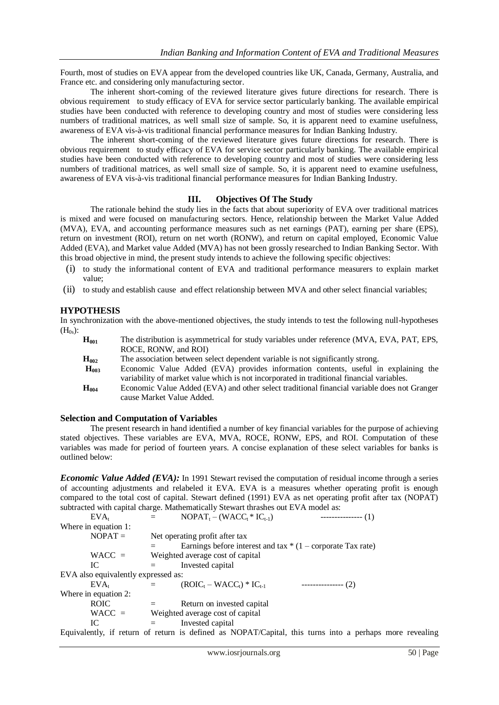Fourth, most of studies on EVA appear from the developed countries like UK, Canada, Germany, Australia, and France etc. and considering only manufacturing sector.

The inherent short-coming of the reviewed literature gives future directions for research. There is obvious requirement to study efficacy of EVA for service sector particularly banking. The available empirical studies have been conducted with reference to developing country and most of studies were considering less numbers of traditional matrices, as well small size of sample. So, it is apparent need to examine usefulness, awareness of EVA vis-à-vis traditional financial performance measures for Indian Banking Industry.

The inherent short-coming of the reviewed literature gives future directions for research. There is obvious requirement to study efficacy of EVA for service sector particularly banking. The available empirical studies have been conducted with reference to developing country and most of studies were considering less numbers of traditional matrices, as well small size of sample. So, it is apparent need to examine usefulness, awareness of EVA vis-à-vis traditional financial performance measures for Indian Banking Industry.

### **III. Objectives Of The Study**

The rationale behind the study lies in the facts that about superiority of EVA over traditional matrices is mixed and were focused on manufacturing sectors. Hence, relationship between the Market Value Added (MVA), EVA, and accounting performance measures such as net earnings (PAT), earning per share (EPS), return on investment (ROI), return on net worth (RONW), and return on capital employed, Economic Value Added (EVA), and Market value Added (MVA) has not been grossly researched to Indian Banking Sector. With this broad objective in mind, the present study intends to achieve the following specific objectives:

- (i) to study the informational content of EVA and traditional performance measurers to explain market value;
- (ii) to study and establish cause and effect relationship between MVA and other select financial variables;

### **HYPOTHESIS**

In synchronization with the above-mentioned objectives, the study intends to test the following null-hypotheses  $(H_{0s})$ :

| $H_{001}$        | The distribution is asymmetrical for study variables under reference (MVA, EVA, PAT, EPS,               |
|------------------|---------------------------------------------------------------------------------------------------------|
|                  | ROCE, RONW, and ROI                                                                                     |
| $H_{002}$        | The association between select dependent variable is not significantly strong.                          |
| $H_{\text{max}}$ | $F_{\text{comomic}}$ Value $\Delta d$ ded $(FVA)$ provides information contents useful in evolution the |

- **H<sup>003</sup>** Economic Value Added (EVA) provides information contents, useful in explaining the variability of market value which is not incorporated in traditional financial variables.
- **H<sup>004</sup>** Economic Value Added (EVA) and other select traditional financial variable does not Granger cause Market Value Added.

### **Selection and Computation of Variables**

The present research in hand identified a number of key financial variables for the purpose of achieving stated objectives. These variables are EVA, MVA, ROCE, RONW, EPS, and ROI. Computation of these variables was made for period of fourteen years. A concise explanation of these select variables for banks is outlined below:

*Economic Value Added (EVA):* In 1991 Stewart revised the computation of residual income through a series of accounting adjustments and relabeled it EVA. EVA is a measures whether operating profit is enough compared to the total cost of capital. Stewart defined (1991) EVA as net operating profit after tax (NOPAT) subtracted with capital charge. Mathematically Stewart thrashes out EVA model as:

| EVA <sub>r</sub>                    | $=$     | $NOPAT_{t} - (WACC_{t} * IC_{t-1})$                                                                     | $------(1)$    |  |
|-------------------------------------|---------|---------------------------------------------------------------------------------------------------------|----------------|--|
| Where in equation 1:                |         |                                                                                                         |                |  |
| $NOPAT =$                           |         | Net operating profit after tax                                                                          |                |  |
|                                     |         | Earnings before interest and tax $*(1 -$ corporate Tax rate)                                            |                |  |
| $WACC =$                            |         | Weighted average cost of capital                                                                        |                |  |
| IС                                  | $=$     | Invested capital                                                                                        |                |  |
| EVA also equivalently expressed as: |         |                                                                                                         |                |  |
| EVA <sub>r</sub>                    | $=$ $-$ | $(ROIC_t - WACC_t) * IC_{t-1}$                                                                          | $---------(2)$ |  |
| Where in equation 2:                |         |                                                                                                         |                |  |
| <b>ROIC</b>                         |         | Return on invested capital                                                                              |                |  |
| $WACC =$                            |         | Weighted average cost of capital                                                                        |                |  |
| IC.                                 | $=$     | Invested capital                                                                                        |                |  |
|                                     |         | Equivalently, if return of return is defined as NOPAT/Capital, this turns into a perhaps more revealing |                |  |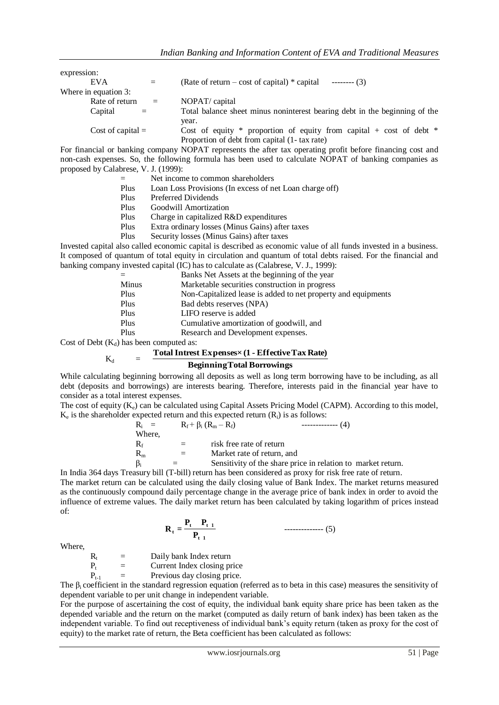| expression:          |     |                                                                            |
|----------------------|-----|----------------------------------------------------------------------------|
| <b>EVA</b>           | $=$ | (Rate of return – cost of capital) $*$ capital<br>$---(3)$                 |
| Where in equation 3: |     |                                                                            |
| Rate of return       | $=$ | NOPAT/ capital                                                             |
| Capital              |     | Total balance sheet minus noninterest bearing debt in the beginning of the |
|                      |     | year.                                                                      |
| Cost of capital $=$  |     | Cost of equity $*$ proportion of equity from capital + cost of debt $*$    |
|                      |     | Proportion of debt from capital (1-tax rate)                               |

For financial or banking company NOPAT represents the after tax operating profit before financing cost and non-cash expenses. So, the following formula has been used to calculate NOPAT of banking companies as proposed by Calabrese, V. J. (1999):

- Net income to common shareholders
- Plus Loan Loss Provisions (In excess of net Loan charge off)
- Plus Preferred Dividends
- Plus Goodwill Amortization
- Plus Charge in capitalized R&D expenditures<br>Plus Extra ordinary losses (Minus Gains) after
- Extra ordinary losses (Minus Gains) after taxes
- Plus Security losses (Minus Gains) after taxes

Invested capital also called economic capital is described as economic value of all funds invested in a business. It composed of quantum of total equity in circulation and quantum of total debts raised. For the financial and banking company invested capital (IC) has to calculate as (Calabrese, V. J., 1999):

|       | Banks Net Assets at the beginning of the year                 |
|-------|---------------------------------------------------------------|
| Minus | Marketable securities construction in progress                |
| Plus  | Non-Capitalized lease is added to net property and equipments |
| Plus  | Bad debts reserves (NPA)                                      |
| Plus  | LIFO reserve is added                                         |
| Plus  | Cumulative amortization of goodwill, and                      |
| Plus  | Research and Development expenses.                            |

Cost of Debt  $(K_d)$  has been computed as:

```
K_dTotalIntrest Expenses×(1 - EffectiveTax Rate)
```
### **BeginningTotal Borrowings**

While calculating beginning borrowing all deposits as well as long term borrowing have to be including, as all debt (deposits and borrowings) are interests bearing. Therefore, interests paid in the financial year have to consider as a total interest expenses.

The cost of equity  $(K_e)$  can be calculated using Capital Assets Pricing Model (CAPM). According to this model,  $K_e$  is the shareholder expected return and this expected return  $(R_i)$  is as follows:

| $R_i =$   |     | $R_f + \beta_i (R_m - R_f)$<br>$------(4)$                   |
|-----------|-----|--------------------------------------------------------------|
| Where.    |     |                                                              |
| $R_f$     | $=$ | risk free rate of return                                     |
| $R_{m}$   | $=$ | Market rate of return, and                                   |
| $\beta_i$ | $=$ | Sensitivity of the share price in relation to market return. |

In India 364 days Treasury bill (T-bill) return has been considered as proxy for risk free rate of return.

The market return can be calculated using the daily closing value of Bank Index. The market returns measured as the continuously compound daily percentage change in the average price of bank index in order to avoid the influence of extreme values. The daily market return has been calculated by taking logarithm of prices instead of:

**t 1 t t 1 <sup>t</sup> P P P R =** -------------- (5)

Where,

 $R_t$  = Daily bank Index return<br>  $P_t$  = Current Index closing pr  $=$  Current Index closing price

 $P_{t-1}$  = Previous day closing price.

The  $\beta_i$  coefficient in the standard regression equation (referred as to beta in this case) measures the sensitivity of dependent variable to per unit change in independent variable.

For the purpose of ascertaining the cost of equity, the individual bank equity share price has been taken as the depended variable and the return on the market (computed as daily return of bank index) has been taken as the independent variable. To find out receptiveness of individual bank's equity return (taken as proxy for the cost of equity) to the market rate of return, the Beta coefficient has been calculated as follows: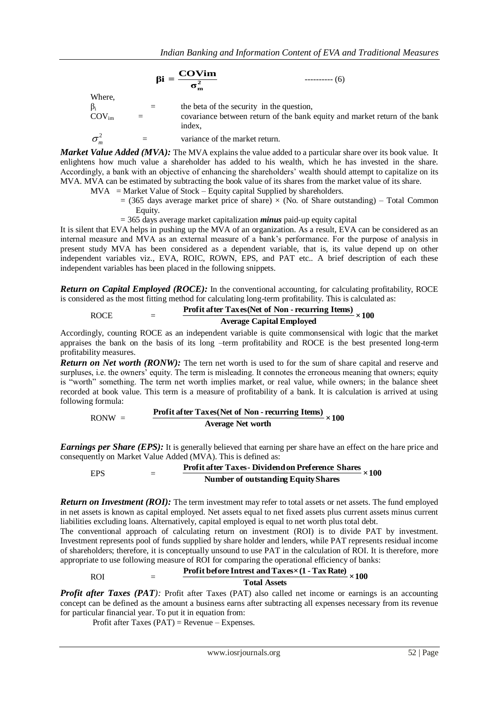|                    | $\beta i =$ | <b>COVim</b><br>$------(6)$<br>$\overline{\sigma_m^2}$                               |
|--------------------|-------------|--------------------------------------------------------------------------------------|
| Where,             |             |                                                                                      |
| $\beta_i$          | $=$         | the beta of the security in the question,                                            |
| $\rm COV_{\rm im}$ |             | covariance between return of the bank equity and market return of the bank<br>index. |
| $\sigma_m^2$       |             | variance of the market return.                                                       |

*Market Value Added (MVA)*: The MVA explains the value added to a particular share over its book value. It enlightens how much value a shareholder has added to his wealth, which he has invested in the share. Accordingly, a bank with an objective of enhancing the shareholders' wealth should attempt to capitalize on its MVA. MVA can be estimated by subtracting the book value of its shares from the market value of its share.

- $MVA$  = Market Value of Stock Equity capital Supplied by shareholders.
	- $= (365$  days average market price of share)  $\times$  (No. of Share outstanding) Total Common Equity.
	- = 365 days average market capitalization *minus* paid-up equity capital

It is silent that EVA helps in pushing up the MVA of an organization. As a result, EVA can be considered as an internal measure and MVA as an external measure of a bank's performance. For the purpose of analysis in present study MVA has been considered as a dependent variable, that is, its value depend up on other independent variables viz., EVA, ROIC, ROWN, EPS, and PAT etc.. A brief description of each these independent variables has been placed in the following snippets.

*Return on Capital Employed (ROCE):* In the conventional accounting, for calculating profitability, ROCE is considered as the most fitting method for calculating long-term profitability. This is calculated as:

# ROCE  $=$  **Profit after Taxes (Net of Non - recurring Items)**  $\times 100$

## **Average Capital Employed**

Accordingly, counting ROCE as an independent variable is quite commonsensical with logic that the market appraises the bank on the basis of its long –term profitability and ROCE is the best presented long-term profitability measures.

*Return on Net worth (RONW):* The tern net worth is used to for the sum of share capital and reserve and surpluses, i.e. the owners' equity. The term is misleading. It connotes the erroneous meaning that owners; equity is "worth" something. The term net worth implies market, or real value, while owners; in the balance sheet recorded at book value. This term is a measure of profitability of a bank. It is calculation is arrived at using following formula:

## $\frac{\text{Profit after Taxes(Net of Non-recuring Items)}}{\text{N}} \times 100$ **Average Net worth**

*Earnings per Share (EPS):* It is generally believed that earning per share have an effect on the hare price and consequently on Market Value Added (MVA). This is defined as:

EPS = **×100 Profit after Taxes- Dividendon Preference Shares Number of outstanding EquityShares**

*Return on Investment (ROI):* The term investment may refer to total assets or net assets. The fund employed in net assets is known as capital employed. Net assets equal to net fixed assets plus current assets minus current liabilities excluding loans. Alternatively, capital employed is equal to net worth plus total debt.

The conventional approach of calculating return on investment (ROI) is to divide PAT by investment. Investment represents pool of funds supplied by share holder and lenders, while PAT represents residual income of shareholders; therefore, it is conceptually unsound to use PAT in the calculation of ROI. It is therefore, more appropriate to use following measure of ROI for comparing the operational efficiency of banks:

# ROI  $=$  **Profit before Intrest and Taxes×(1 - Tax Rate)**  $\times 100$

**Total Assets**

*Profit after Taxes (PAT)*: Profit after Taxes (PAT) also called net income or earnings is an accounting concept can be defined as the amount a business earns after subtracting all expenses necessary from its revenue for particular financial year. To put it in equation from:

Profit after Taxes (PAT) = Revenue – Expenses.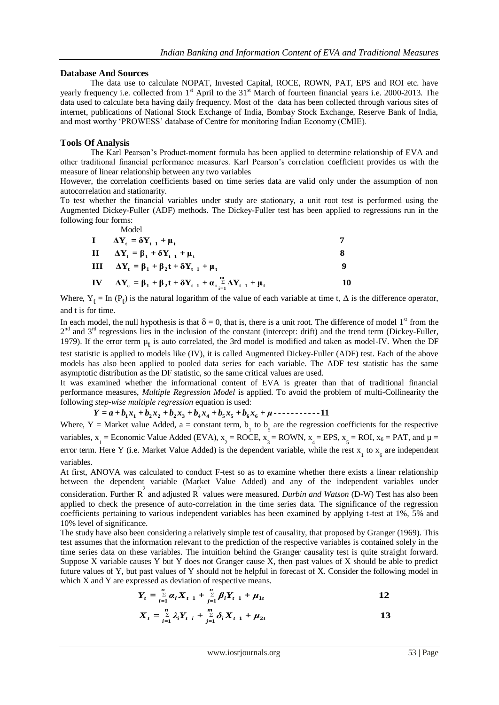### **Database And Sources**

The data use to calculate NOPAT, Invested Capital, ROCE, ROWN, PAT, EPS and ROI etc. have yearly frequency i.e. collected from 1<sup>st</sup> April to the 31<sup>st</sup> March of fourteen financial years i.e. 2000-2013. The data used to calculate beta having daily frequency. Most of the data has been collected through various sites of internet, publications of National Stock Exchange of India, Bombay Stock Exchange, Reserve Bank of India, and most worthy ‗PROWESS' database of Centre for monitoring Indian Economy (CMIE).

### **Tools Of Analysis**

The Karl Pearson's Product-moment formula has been applied to determine relationship of EVA and other traditional financial performance measures. Karl Pearson's correlation coefficient provides us with the measure of linear relationship between any two variables

However, the correlation coefficients based on time series data are valid only under the assumption of non autocorrelation and stationarity.

To test whether the financial variables under study are stationary, a unit root test is performed using the Augmented Dickey-Fuller (ADF) methods. The Dickey-Fuller test has been applied to regressions run in the following four forms:

Model

| $\mathbf{I} \qquad \Delta \mathbf{Y}_{t} = \delta \mathbf{Y}_{t-1} + \mathbf{\mu}_{t}$                           |    |
|------------------------------------------------------------------------------------------------------------------|----|
| II $\Delta Y_t = \beta_1 + \delta Y_{t-1} + \mu_t$                                                               | x  |
| III $\Delta Y_t = \beta_1 + \beta_2 t + \delta Y_{t-1} + \mu_t$                                                  | 9  |
| IV $\Delta Y_{\epsilon} = \beta_1 + \beta_2 t + \delta Y_{t-1} + \alpha_i \sum_{i=1}^{m} \Delta Y_{t-1} + \mu_t$ | 10 |

Where,  $Y_t = \text{In } (P_t)$  is the natural logarithm of the value of each variable at time t,  $\Delta$  is the difference operator, and t is for time.

In each model, the null hypothesis is that  $\delta = 0$ , that is, there is a unit root. The difference of model 1<sup>st</sup> from the  $2<sup>nd</sup>$  and  $3<sup>rd</sup>$  regressions lies in the inclusion of the constant (intercept: drift) and the trend term (Dickey-Fuller, 1979). If the error term  $\mu_t$  is auto correlated, the 3rd model is modified and taken as model-IV. When the DF

test statistic is applied to models like (IV), it is called Augmented Dickey-Fuller (ADF) test. Each of the above models has also been applied to pooled data series for each variable. The ADF test statistic has the same asymptotic distribution as the DF statistic, so the same critical values are used.

It was examined whether the informational content of EVA is greater than that of traditional financial performance measures, *Multiple Regression Model* is applied. To avoid the problem of multi-Collinearity the following *step-wise multiple regression* equation is used:

 $Y = a + b_1x_1 + b_2x_2 + b_2x_3 + b_4x_4 + b_5x_5 + b_6x_6 + \mu$  -----------11

Where, Y = Market value Added, a = constant term,  $b_1$  to  $b_5$  are the regression coefficients for the respective variables,  $x_1$  = Economic Value Added (EVA),  $x_2$  = ROCE,  $x_3$  = ROWN,  $x_4$  = EPS,  $x_5$  = ROI,  $x_6$  = PAT, and  $\mu$  = error term. Here Y (i.e. Market Value Added) is the dependent variable, while the rest  $x_1$  to  $x_6$  are independent variables.

At first, ANOVA was calculated to conduct F-test so as to examine whether there exists a linear relationship between the dependent variable (Market Value Added) and any of the independent variables under consideration. Further R 2 and adjusted R 2 values were measured. *Durbin and Watson* (D-W) Test has also been applied to check the presence of auto-correlation in the time series data. The significance of the regression coefficients pertaining to various independent variables has been examined by applying t-test at 1%, 5% and 10% level of significance.

The study have also been considering a relatively simple test of causality, that proposed by Granger (1969). This test assumes that the information relevant to the prediction of the respective variables is contained solely in the time series data on these variables. The intuition behind the Granger causality test is quite straight forward. Suppose X variable causes Y but Y does not Granger cause X, then past values of X should be able to predict future values of Y, but past values of Y should not be helpful in forecast of X. Consider the following model in which X and Y are expressed as deviation of respective means.

$$
Y_{t} = \sum_{i=1}^{n} \alpha_{i} X_{t-1} + \sum_{j=1}^{n} \beta_{i} Y_{t-1} + \mu_{1t}
$$

$$
X_{t} = \sum_{i=1}^{n} \lambda_{i} Y_{t} + \sum_{j=1}^{m} \delta_{i} X_{t-1} + \mu_{2t}
$$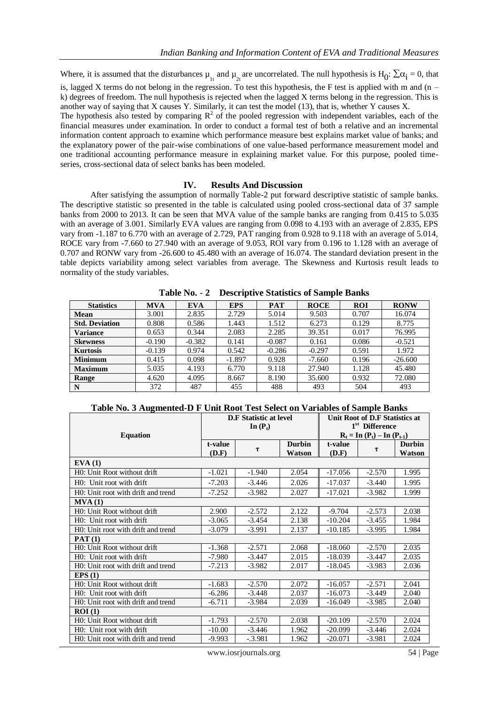Where, it is assumed that the disturbances  $\mu_{1t}$  and  $\mu_{2t}$  are uncorrelated. The null hypothesis is  $H_0: \Sigma \alpha_i = 0$ , that is, lagged X terms do not belong in the regression. To test this hypothesis, the F test is applied with m and  $(n$ k) degrees of freedom. The null hypothesis is rejected when the lagged X terms belong in the regression. This is another way of saying that X causes Y. Similarly, it can test the model (13), that is, whether Y causes X.

The hypothesis also tested by comparing  $R^2$  of the pooled regression with independent variables, each of the financial measures under examination. In order to conduct a formal test of both a relative and an incremental information content approach to examine which performance measure best explains market value of banks; and the explanatory power of the pair-wise combinations of one value-based performance measurement model and one traditional accounting performance measure in explaining market value. For this purpose, pooled timeseries, cross-sectional data of select banks has been modeled.

#### **IV. Results And Discussion**

After satisfying the assumption of normally Table-2 put forward descriptive statistic of sample banks. The descriptive statistic so presented in the table is calculated using pooled cross-sectional data of 37 sample banks from 2000 to 2013. It can be seen that MVA value of the sample banks are ranging from 0.415 to 5.035 with an average of 3.001. Similarly EVA values are ranging from 0.098 to 4.193 with an average of 2.835, EPS vary from -1.187 to 6.770 with an average of 2.729, PAT ranging from 0.928 to 9.118 with an average of 5.014, ROCE vary from -7.660 to 27.940 with an average of 9.053, ROI vary from 0.196 to 1.128 with an average of 0.707 and RONW vary from -26.600 to 45.480 with an average of 16.074. The standard deviation present in the table depicts variability among select variables from average. The Skewness and Kurtosis result leads to normality of the study variables.

|                       | <b>Descriptive Diamstres of Dampic Dams</b> |            |            |            |             |            |             |  |
|-----------------------|---------------------------------------------|------------|------------|------------|-------------|------------|-------------|--|
| <b>Statistics</b>     | <b>MVA</b>                                  | <b>EVA</b> | <b>EPS</b> | <b>PAT</b> | <b>ROCE</b> | <b>ROI</b> | <b>RONW</b> |  |
| <b>Mean</b>           | 3.001                                       | 2.835      | 2.729      | 5.014      | 9.503       | 0.707      | 16.074      |  |
| <b>Std. Deviation</b> | 0.808                                       | 0.586      | 1.443      | 1.512      | 6.273       | 0.129      | 8.775       |  |
| Variance              | 0.653                                       | 0.344      | 2.083      | 2.285      | 39.351      | 0.017      | 76.995      |  |
| <b>Skewness</b>       | $-0.190$                                    | $-0.382$   | 0.141      | $-0.087$   | 0.161       | 0.086      | $-0.521$    |  |
| <b>Kurtosis</b>       | $-0.139$                                    | 0.974      | 0.542      | $-0.286$   | $-0.297$    | 0.591      | 1.972       |  |
| <b>Minimum</b>        | 0.415                                       | 0.098      | $-1.897$   | 0.928      | $-7.660$    | 0.196      | $-26.600$   |  |
| <b>Maximum</b>        | 5.035                                       | 4.193      | 6.770      | 9.118      | 27.940      | 1.128      | 45.480      |  |
| Range                 | 4.620                                       | 4.095      | 8.667      | 8.190      | 35.600      | 0.932      | 72.080      |  |
| N                     | 372                                         | 487        | 455        | 488        | 493         | 504        | 493         |  |

**Table No.** - **2 Descriptive Statistics of Sample Banks**

| Table No. 3 Augmented-D F Unit Root Test Select on Variables of Sample Banks |  |  |
|------------------------------------------------------------------------------|--|--|
|                                                                              |  |  |

| <b>Equation</b>                    |                  | <b>D.F</b> Statistic at level<br>In $(P_t)$ |                         | Unit Root of D.F Statistics at<br>1 <sup>st</sup> Difference<br>$R_t = In (P_t) - In (P_{t-1})$ |          |                         |
|------------------------------------|------------------|---------------------------------------------|-------------------------|-------------------------------------------------------------------------------------------------|----------|-------------------------|
|                                    | t-value<br>(D.F) | τ                                           | <b>Durbin</b><br>Watson | t-value<br>(D.F)                                                                                | τ        | <b>Durbin</b><br>Watson |
| EVA(1)                             |                  |                                             |                         |                                                                                                 |          |                         |
| H0: Unit Root without drift        | $-1.021$         | $-1.940$                                    | 2.054                   | $-17.056$                                                                                       | $-2.570$ | 1.995                   |
| H0: Unit root with drift           | $-7.203$         | $-3.446$                                    | 2.026                   | $-17.037$                                                                                       | $-3.440$ | 1.995                   |
| H0: Unit root with drift and trend | $-7.252$         | $-3.982$                                    | 2.027                   | $-17.021$                                                                                       | $-3.982$ | 1.999                   |
| MVA(1)                             |                  |                                             |                         |                                                                                                 |          |                         |
| H0: Unit Root without drift        | 2.900            | $-2.572$                                    | 2.122                   | $-9.704$                                                                                        | $-2.573$ | 2.038                   |
| H0: Unit root with drift           | $-3.065$         | $-3.454$                                    | 2.138                   | $-10.204$                                                                                       | $-3.455$ | 1.984                   |
| H0: Unit root with drift and trend | $-3.079$         | $-3.991$                                    | 2.137                   | $-10.185$                                                                                       | $-3.995$ | 1.984                   |
| PAT(1)                             |                  |                                             |                         |                                                                                                 |          |                         |
| H0: Unit Root without drift        | $-1.368$         | $-2.571$                                    | 2.068                   | $-18.060$                                                                                       | $-2.570$ | 2.035                   |
| H0: Unit root with drift           | $-7.980$         | $-3.447$                                    | 2.015                   | $-18.039$                                                                                       | $-3.447$ | 2.035                   |
| H0: Unit root with drift and trend | $-7.213$         | $-3.982$                                    | 2.017                   | $-18.045$                                                                                       | $-3.983$ | 2.036                   |
| EPS(1)                             |                  |                                             |                         |                                                                                                 |          |                         |
| H0: Unit Root without drift        | $-1.683$         | $-2.570$                                    | 2.072                   | $-16.057$                                                                                       | $-2.571$ | 2.041                   |
| H0: Unit root with drift           | $-6.286$         | $-3.448$                                    | 2.037                   | $-16.073$                                                                                       | $-3.449$ | 2.040                   |
| H0: Unit root with drift and trend | $-6.711$         | $-3.984$                                    | 2.039                   | $-16.049$                                                                                       | $-3.985$ | 2.040                   |
| ROI(1)                             |                  |                                             |                         |                                                                                                 |          |                         |
| H0: Unit Root without drift        | $-1.793$         | $-2.570$                                    | 2.038                   | $-20.109$                                                                                       | $-2.570$ | 2.024                   |
| H0: Unit root with drift           | $-10.00$         | $-3.446$                                    | 1.962                   | $-20.099$                                                                                       | $-3.446$ | 2.024                   |
| HO: Unit root with drift and trend | $-9.993$         | $-.3.981$                                   | 1.962                   | $-20.071$                                                                                       | $-3.981$ | 2.024                   |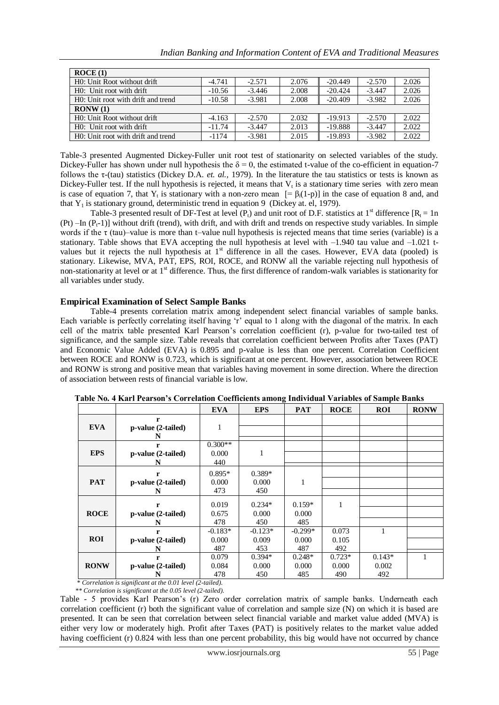| Indian Banking and Information Content of EVA and Traditional Measures |  |  |  |  |
|------------------------------------------------------------------------|--|--|--|--|
|------------------------------------------------------------------------|--|--|--|--|

| ROCE(1)                            |          |          |       |           |          |       |  |  |
|------------------------------------|----------|----------|-------|-----------|----------|-------|--|--|
| H0: Unit Root without drift        | $-4.741$ | $-2.571$ | 2.076 | $-20.449$ | $-2.570$ | 2.026 |  |  |
| H0: Unit root with drift           | $-10.56$ | $-3.446$ | 2.008 | $-20.424$ | $-3.447$ | 2.026 |  |  |
| HO: Unit root with drift and trend | $-10.58$ | $-3.981$ | 2.008 | $-20.409$ | $-3.982$ | 2.026 |  |  |
| RONW(1)                            |          |          |       |           |          |       |  |  |
| H0: Unit Root without drift        | $-4.163$ | $-2.570$ | 2.032 | $-19.913$ | $-2.570$ | 2.022 |  |  |
| HO: Unit root with drift           | $-11.74$ | $-3.447$ | 2.013 | $-19.888$ | $-3.447$ | 2.022 |  |  |
| HO: Unit root with drift and trend | $-1174$  | $-3.981$ | 2.015 | $-19.893$ | $-3.982$ | 2.022 |  |  |

Table-3 presented Augmented Dickey-Fuller unit root test of stationarity on selected variables of the study. Dickey-Fuller has shown under null hypothesis the  $\delta = 0$ , the estimated t-value of the co-efficient in equation-7 follows the τ-(tau) statistics (Dickey D.A. *et. al.,* 1979). In the literature the tau statistics or tests is known as Dickey-Fuller test. If the null hypothesis is rejected, it means that  $V_t$  is a stationary time series with zero mean is case of equation 7, that  $Y_t$  is stationary with a non-zero mean  $[=\beta_i(1-p)]$  in the case of equation 8 and, and that  $Y_1$  is stationary ground, deterministic trend in equation 9 (Dickey at. el, 1979).

Table-3 presented result of DF-Test at level ( $P_1$ ) and unit root of D.F. statistics at 1<sup>st</sup> difference  $[R_1 = 1n]$ (Pt) –In  $(P_t-1)$ ] without drift (trend), with drift, and with drift and trends on respective study variables. In simple words if the  $\tau$  (tau)–value is more than t–value null hypothesis is rejected means that time series (variable) is a stationary. Table shows that EVA accepting the null hypothesis at level with  $-1.940$  tau value and  $-1.021$  tvalues but it rejects the null hypothesis at  $1<sup>st</sup>$  difference in all the cases. However, EVA data (pooled) is stationary. Likewise, MVA, PAT, EPS, ROI, ROCE, and RONW all the variable rejecting null hypothesis of non-stationarity at level or at  $1<sup>st</sup>$  difference. Thus, the first difference of random-walk variables is stationarity for all variables under study.

### **Empirical Examination of Select Sample Banks**

Table-4 presents correlation matrix among independent select financial variables of sample banks. Each variable is perfectly correlating itself having 'r' equal to 1 along with the diagonal of the matrix. In each cell of the matrix table presented Karl Pearson's correlation coefficient (r), p-value for two-tailed test of significance, and the sample size. Table reveals that correlation coefficient between Profits after Taxes (PAT) and Economic Value Added (EVA) is 0.895 and p-value is less than one percent. Correlation Coefficient between ROCE and RONW is 0.723, which is significant at one percent. However, association between ROCE and RONW is strong and positive mean that variables having movement in some direction. Where the direction of association between rests of financial variable is low.

|             |                    | <b>EVA</b> | <b>EPS</b> | <b>PAT</b> | <b>ROCE</b> | <b>ROI</b>   | <b>RONW</b> |
|-------------|--------------------|------------|------------|------------|-------------|--------------|-------------|
|             | r                  |            |            |            |             |              |             |
| <b>EVA</b>  | p-value (2-tailed) | 1          |            |            |             |              |             |
|             | N                  |            |            |            |             |              |             |
|             | r                  | $0.300**$  |            |            |             |              |             |
| <b>EPS</b>  | p-value (2-tailed) | 0.000      | 1          |            |             |              |             |
|             | N                  | 440        |            |            |             |              |             |
|             | r                  | $0.895*$   | $0.389*$   |            |             |              |             |
| <b>PAT</b>  | p-value (2-tailed) | 0.000      | 0.000      | 1          |             |              |             |
|             | N                  | 473        | 450        |            |             |              |             |
|             |                    | 0.019      | $0.234*$   | $0.159*$   | 1           |              |             |
|             | r                  |            |            |            |             |              |             |
| <b>ROCE</b> | p-value (2-tailed) | 0.675      | 0.000      | 0.000      |             |              |             |
|             | N                  | 478        | 450        | 485        |             |              |             |
|             | r                  | $-0.183*$  | $-0.123*$  | $-0.299*$  | 0.073       | $\mathbf{1}$ |             |
| <b>ROI</b>  | p-value (2-tailed) | 0.000      | 0.009      | 0.000      | 0.105       |              |             |
|             |                    | 487        | 453        | 487        | 492         |              |             |
|             | r                  | 0.079      | $0.394*$   | $0.248*$   | $0.723*$    | $0.143*$     |             |
| <b>RONW</b> | p-value (2-tailed) | 0.084      | 0.000      | 0.000      | 0.000       | 0.002        |             |
|             | N                  | 478        | 450        | 485        | 490         | 492          |             |

**Table No. 4 Karl Pearson's Correlation Coefficients among Individual Variables of Sample Banks**

 *\* Correlation is significant at the 0.01 level (2-tailed).*

 *\*\* Correlation is significant at the 0.05 level (2-tailed).*

Table - 5 provides Karl Pearson's (r) Zero order correlation matrix of sample banks. Underneath each correlation coefficient (r) both the significant value of correlation and sample size (N) on which it is based are presented. It can be seen that correlation between select financial variable and market value added (MVA) is either very low or moderately high. Profit after Taxes (PAT) is positively relates to the market value added having coefficient (r) 0.824 with less than one percent probability, this big would have not occurred by chance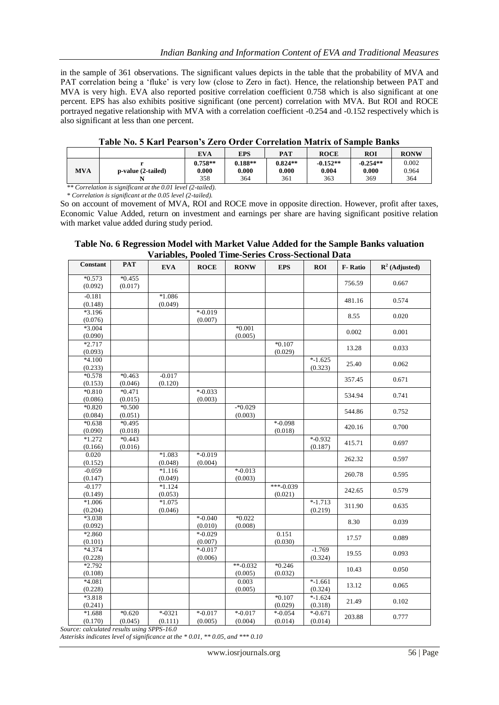in the sample of 361 observations. The significant values depicts in the table that the probability of MVA and PAT correlation being a 'fluke' is very low (close to Zero in fact). Hence, the relationship between PAT and MVA is very high. EVA also reported positive correlation coefficient 0.758 which is also significant at one percent. EPS has also exhibits positive significant (one percent) correlation with MVA. But ROI and ROCE portrayed negative relationship with MVA with a correlation coefficient -0.254 and -0.152 respectively which is also significant at less than one percent.

|            |                    | EVA                       | <b>EPS</b>                | <b>PAT</b>                | <b>ROCE</b>                | <b>ROI</b>                 | <b>RONW</b>           |
|------------|--------------------|---------------------------|---------------------------|---------------------------|----------------------------|----------------------------|-----------------------|
| <b>MVA</b> | p-value (2-tailed) | $0.758**$<br>0.000<br>358 | $0.188**$<br>0.000<br>364 | $0.824**$<br>0.000<br>361 | $-0.152**$<br>0.004<br>363 | $-0.254**$<br>0.000<br>369 | 0.002<br>0.964<br>364 |

### **Table No. 5 Karl Pearson's Zero Order Correlation Matrix of Sample Banks**

 *\*\* Correlation is significant at the 0.01 level (2-tailed). \* Correlation is significant at the 0.05 level (2-tailed).*

So on account of movement of MVA, ROI and ROCE move in opposite direction. However, profit after taxes, Economic Value Added, return on investment and earnings per share are having significant positive relation with market value added during study period.

### **Table No. 6 Regression Model with Market Value Added for the Sample Banks valuation Variables, Pooled Time-Series Cross-Sectional Data**

| <b>Constant</b>     | <b>PAT</b>          | <b>EVA</b>           | <b>ROCE</b>           | <b>RONW</b>           | <b>EPS</b>            | <b>ROI</b>             | <b>F-Ratio</b> | $\mathbf{R}^2$ (Adjusted) |
|---------------------|---------------------|----------------------|-----------------------|-----------------------|-----------------------|------------------------|----------------|---------------------------|
| $*0.573$<br>(0.092) | $*0.455$<br>(0.017) |                      |                       |                       |                       |                        | 756.59         | 0.667                     |
| $-0.181$<br>(0.148) |                     | $*1.086$<br>(0.049)  |                       |                       |                       |                        | 481.16         | 0.574                     |
| $*3.196$<br>(0.076) |                     |                      | $* -0.019$<br>(0.007) |                       |                       |                        | 8.55           | 0.020                     |
| $*3.004$<br>(0.090) |                     |                      |                       | $*0.001$<br>(0.005)   |                       |                        | 0.002          | 0.001                     |
| $*2.717$<br>(0.093) |                     |                      |                       |                       | $*0.107$<br>(0.029)   |                        | 13.28          | 0.033                     |
| $*4.100$<br>(0.233) |                     |                      |                       |                       |                       | $*-1.625$<br>(0.323)   | 25.40          | 0.062                     |
| $*0.578$<br>(0.153) | $*0.463$<br>(0.046) | $-0.017$<br>(0.120)  |                       |                       |                       |                        | 357.45         | 0.671                     |
| $*0.810$<br>(0.086) | $*0.471$<br>(0.015) |                      | $* -0.033$<br>(0.003) |                       |                       |                        | 534.94         | 0.741                     |
| $*0.820$<br>(0.084) | $*0.500$<br>(0.051) |                      |                       | $-*0.029$<br>(0.003)  |                       |                        | 544.86         | 0.752                     |
| $*0.638$<br>(0.090) | $*0.495$<br>(0.018) |                      |                       |                       | $* -0.098$<br>(0.018) |                        | 420.16         | 0.700                     |
| $*1.272$<br>(0.166) | $*0.443$<br>(0.016) |                      |                       |                       |                       | $* -0.932$<br>(0.187)  | 415.71         | 0.697                     |
| 0.020<br>(0.152)    |                     | $*1.083$<br>(0.048)  | $* -0.019$<br>(0.004) |                       |                       |                        | 262.32         | 0.597                     |
| $-0.059$<br>(0.147) |                     | $*1.116$<br>(0.049)  |                       | $* -0.013$<br>(0.003) |                       |                        | 260.78         | 0.595                     |
| $-0.177$<br>(0.149) |                     | $*1.124$<br>(0.053)  |                       |                       | ***-0.039<br>(0.021)  |                        | 242.65         | 0.579                     |
| $*1.006$<br>(0.204) |                     | $*1.075$<br>(0.046)  |                       |                       |                       | $* - 1.713$<br>(0.219) | 311.90         | 0.635                     |
| $*3.038$<br>(0.092) |                     |                      | $* -0.040$<br>(0.010) | $*0.022$<br>(0.008)   |                       |                        | 8.30           | 0.039                     |
| $*2.860$<br>(0.101) |                     |                      | $* -0.029$<br>(0.007) |                       | 0.151<br>(0.030)      |                        | 17.57          | 0.089                     |
| $*4.374$<br>(0.228) |                     |                      | $* -0.017$<br>(0.006) |                       |                       | $-1.769$<br>(0.324)    | 19.55          | 0.093                     |
| $*2.792$<br>(0.108) |                     |                      |                       | $**-0.032$<br>(0.005) | $*0.246$<br>(0.032)   |                        | 10.43          | 0.050                     |
| $*4.081$<br>(0.228) |                     |                      |                       | 0.003<br>(0.005)      |                       | $* -1.661$<br>(0.324)  | 13.12          | 0.065                     |
| $*3.818$<br>(0.241) |                     |                      |                       |                       | $*0.107$<br>(0.029)   | $*-1.624$<br>(0.318)   | 21.49          | 0.102                     |
| $*1.688$<br>(0.170) | $*0.620$<br>(0.045) | $* -0321$<br>(0.111) | $* -0.017$<br>(0.005) | $* -0.017$<br>(0.004) | $* -0.054$<br>(0.014) | $* -0.671$<br>(0.014)  | 203.88         | 0.777                     |

*Source: calculated results using SPPS-16.0*

*Asterisks indicates level of significance at the \* 0.01, \*\* 0.05, and \*\*\* 0.10*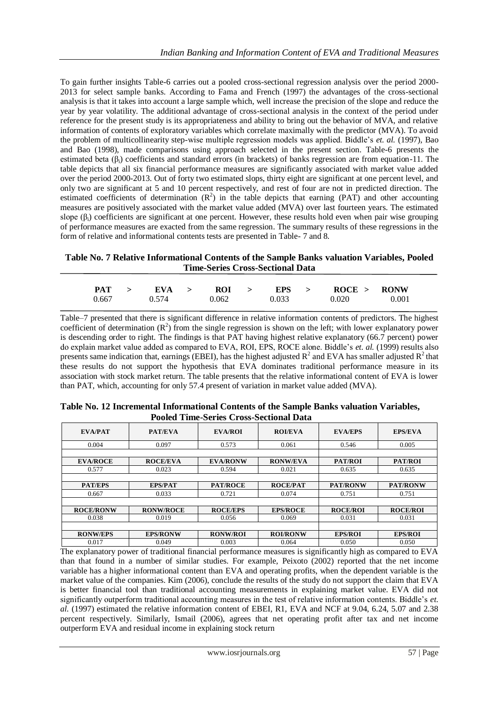To gain further insights Table-6 carries out a pooled cross-sectional regression analysis over the period 2000- 2013 for select sample banks. According to Fama and French (1997) the advantages of the cross-sectional analysis is that it takes into account a large sample which, well increase the precision of the slope and reduce the year by year volatility. The additional advantage of cross-sectional analysis in the context of the period under reference for the present study is its appropriateness and ability to bring out the behavior of MVA, and relative information of contents of exploratory variables which correlate maximally with the predictor (MVA). To avoid the problem of multicollinearity step-wise multiple regression models was applied. Biddle's *et. al.* (1997), Bao and Bao (1998), made comparisons using approach selected in the present section. Table-6 presents the estimated beta  $(\beta_i)$  coefficients and standard errors (in brackets) of banks regression are from equation-11. The table depicts that all six financial performance measures are significantly associated with market value added over the period 2000-2013. Out of forty two estimated slops, thirty eight are significant at one percent level, and only two are significant at 5 and 10 percent respectively, and rest of four are not in predicted direction. The estimated coefficients of determination  $(R^2)$  in the table depicts that earning (PAT) and other accounting measures are positively associated with the market value added (MVA) over last fourteen years. The estimated slope  $(\beta_i)$  coefficients are significant at one percent. However, these results hold even when pair wise grouping of performance measures are exacted from the same regression. The summary results of these regressions in the form of relative and informational contents tests are presented in Table- 7 and 8.

## **Table No. 7 Relative Informational Contents of the Sample Banks valuation Variables, Pooled Time-Series Cross-Sectional Data**

|  |  |  |  | PAT > EVA > ROI > EPS > ROCE > RONW     |       |
|--|--|--|--|-----------------------------------------|-------|
|  |  |  |  | $0.667$ $0.574$ $0.062$ $0.033$ $0.020$ | 0.001 |

Table–7 presented that there is significant difference in relative information contents of predictors. The highest coefficient of determination  $(R^2)$  from the single regression is shown on the left; with lower explanatory power is descending order to right. The findings is that PAT having highest relative explanatory (66.7 percent) power do explain market value added as compared to EVA, ROI, EPS, ROCE alone. Biddle's *et. al.* (1999) results also presents same indication that, earnings (EBEI), has the highest adjusted  $R^2$  and EVA has smaller adjusted  $R^2$  that these results do not support the hypothesis that EVA dominates traditional performance measure in its association with stock market return. The table presents that the relative informational content of EVA is lower than PAT, which, accounting for only 57.4 present of variation in market value added (MVA).

| Tooled Thile-Defies Cross-Declivilar Data |                  |                 |                 |                 |                 |  |  |
|-------------------------------------------|------------------|-----------------|-----------------|-----------------|-----------------|--|--|
| EVA/PAT                                   | <b>PAT/EVA</b>   | <b>EVA/ROI</b>  | <b>ROI/EVA</b>  | <b>EVA/EPS</b>  | <b>EPS/EVA</b>  |  |  |
| 0.004                                     | 0.097            | 0.573           | 0.061           | 0.546           | 0.005           |  |  |
|                                           |                  |                 |                 |                 |                 |  |  |
| <b>EVA/ROCE</b>                           | <b>ROCE/EVA</b>  | <b>EVA/RONW</b> | <b>RONW/EVA</b> | PAT/ROI         | PAT/ROI         |  |  |
| 0.577                                     | 0.023            | 0.594           | 0.021           | 0.635           | 0.635           |  |  |
|                                           |                  |                 |                 |                 |                 |  |  |
| <b>PAT/EPS</b>                            | <b>EPS/PAT</b>   | <b>PAT/ROCE</b> | <b>ROCE/PAT</b> | <b>PAT/RONW</b> | <b>PAT/RONW</b> |  |  |
| 0.667                                     | 0.033            | 0.721           | 0.074           | 0.751           | 0.751           |  |  |
|                                           |                  |                 |                 |                 |                 |  |  |
| <b>ROCE/RONW</b>                          | <b>RONW/ROCE</b> | <b>ROCE/EPS</b> | <b>EPS/ROCE</b> | <b>ROCE/ROL</b> | <b>ROCE/ROI</b> |  |  |
| 0.038                                     | 0.019            | 0.056           | 0.069           | 0.031           | 0.031           |  |  |
|                                           |                  |                 |                 |                 |                 |  |  |
| <b>RONW/EPS</b>                           | <b>EPS/RONW</b>  | <b>RONW/ROI</b> | <b>ROI/RONW</b> | <b>EPS/ROI</b>  | <b>EPS/ROI</b>  |  |  |
| 0.017                                     | 0.049            | 0.003           | 0.064           | 0.050           | 0.050           |  |  |

| Table No. 12 Incremental Informational Contents of the Sample Banks valuation Variables, |  |
|------------------------------------------------------------------------------------------|--|
| <b>Pooled Time-Series Cross-Sectional Data</b>                                           |  |

The explanatory power of traditional financial performance measures is significantly high as compared to EVA than that found in a number of similar studies. For example, Peixoto (2002) reported that the net income variable has a higher informational content than EVA and operating profits, when the dependent variable is the market value of the companies. Kim (2006), conclude the results of the study do not support the claim that EVA is better financial tool than traditional accounting measurements in explaining market value. EVA did not significantly outperform traditional accounting measures in the test of relative information contents. Biddle's *et. al.* (1997) estimated the relative information content of EBEI, R1, EVA and NCF at 9.04, 6.24, 5.07 and 2.38 percent respectively. Similarly, Ismail (2006), agrees that net operating profit after tax and net income outperform EVA and residual income in explaining stock return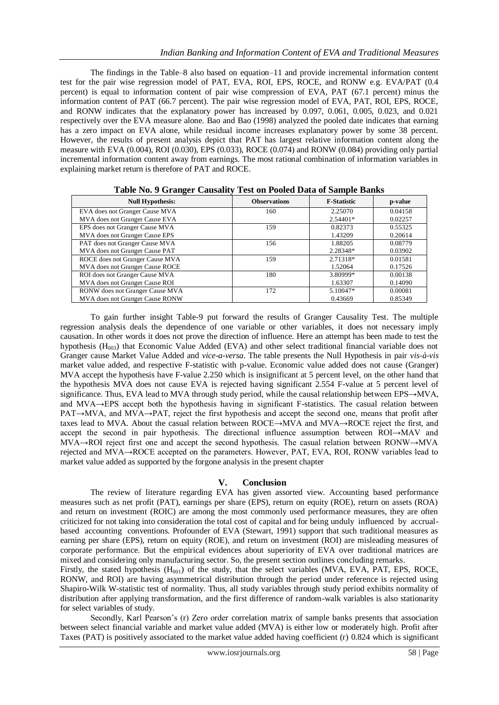The findings in the Table–8 also based on equation–11 and provide incremental information content test for the pair wise regression model of PAT, EVA, ROI, EPS, ROCE, and RONW e.g. EVA/PAT (0.4 percent) is equal to information content of pair wise compression of EVA, PAT (67.1 percent) minus the information content of PAT (66.7 percent). The pair wise regression model of EVA, PAT, ROI, EPS, ROCE, and RONW indicates that the explanatory power has increased by 0.097, 0.061, 0.005, 0.023, and 0.021 respectively over the EVA measure alone. Bao and Bao (1998) analyzed the pooled date indicates that earning has a zero impact on EVA alone, while residual income increases explanatory power by some 38 percent. However, the results of present analysis depict that PAT has largest relative information content along the measure with EVA (0.004), ROI (0.030), EPS (0.033), ROCE (0.074) and RONW (0.084) providing only partial incremental information content away from earnings. The most rational combination of information variables in explaining market return is therefore of PAT and ROCE.

| ິ<br><b>Null Hypothesis:</b>    | <b>Observations</b> | <b>F-Statistic</b> | p-value |
|---------------------------------|---------------------|--------------------|---------|
| EVA does not Granger Cause MVA  | 160                 | 2.25070            | 0.04158 |
| MVA does not Granger Cause EVA  |                     | $2.54401*$         | 0.02257 |
| EPS does not Granger Cause MVA  | 159                 | 0.82373            | 0.55325 |
| MVA does not Granger Cause EPS  |                     | 1.43209            | 0.20614 |
| PAT does not Granger Cause MVA  | 156                 | 1.88205            | 0.08779 |
| MVA does not Granger Cause PAT  |                     | 2.28348*           | 0.03902 |
| ROCE does not Granger Cause MVA | 159                 | 2.71318*           | 0.01581 |
| MVA does not Granger Cause ROCE |                     | 1.52064            | 0.17526 |
| ROI does not Granger Cause MVA  | 180                 | 3.80999*           | 0.00138 |
| MVA does not Granger Cause ROI  |                     | 1.63307            | 0.14090 |
| RONW does not Granger Cause MVA | 172                 | 5.10047*           | 0.00081 |
| MVA does not Granger Cause RONW |                     | 0.43669            | 0.85349 |

**Table No. 9 Granger Causality Test on Pooled Data of Sample Banks**

To gain further insight Table-9 put forward the results of Granger Causality Test. The multiple regression analysis deals the dependence of one variable or other variables, it does not necessary imply causation. In other words it does not prove the direction of influence. Here an attempt has been made to test the hypothesis ( $H_{003}$ ) that Economic Value Added (EVA) and other select traditional financial variable does not Granger cause Market Value Added and *vice-a-versa*. The table presents the Null Hypothesis in pair *vis-à-vis* market value added, and respective F-statistic with p-value. Economic value added does not cause (Granger) MVA accept the hypothesis have F-value 2.250 which is insignificant at 5 percent level, on the other hand that the hypothesis MVA does not cause EVA is rejected having significant 2.554 F-value at 5 percent level of significance. Thus, EVA lead to MVA through study period, while the causal relationship between EPS→MVA, and MVA→EPS accept both the hypothesis having in significant F-statistics. The casual relation between PAT→MVA, and MVA→PAT, reject the first hypothesis and accept the second one, means that profit after taxes lead to MVA. About the casual relation between ROCE→MVA and MVA→ROCE reject the first, and accept the second in pair hypothesis. The directional influence assumption between ROI→MAV and MVA→ROI reject first one and accept the second hypothesis. The casual relation between RONW→MVA rejected and MVA→ROCE accepted on the parameters. However, PAT, EVA, ROI, RONW variables lead to market value added as supported by the forgone analysis in the present chapter

### **V. Conclusion**

The review of literature regarding EVA has given assorted view. Accounting based performance measures such as net profit (PAT), earnings per share (EPS), return on equity (ROE), return on assets (ROA) and return on investment (ROIC) are among the most commonly used performance measures, they are often criticized for not taking into consideration the total cost of capital and for being unduly influenced by accrualbased accounting conventions. Profounder of EVA (Stewart, 1991) support that such traditional measures as earning per share (EPS), return on equity (ROE), and return on investment (ROI) are misleading measures of corporate performance. But the empirical evidences about superiority of EVA over traditional matrices are mixed and considering only manufacturing sector. So, the present section outlines concluding remarks.

Firstly, the stated hypothesis  $(H_{001})$  of the study, that the select variables (MVA, EVA, PAT, EPS, ROCE, RONW, and ROI) are having asymmetrical distribution through the period under reference is rejected using Shapiro-Wilk W-statistic test of normality. Thus, all study variables through study period exhibits normality of distribution after applying transformation, and the first difference of random-walk variables is also stationarity for select variables of study.

Secondly, Karl Pearson's (r) Zero order correlation matrix of sample banks presents that association between select financial variable and market value added (MVA) is either low or moderately high. Profit after Taxes (PAT) is positively associated to the market value added having coefficient (r) 0.824 which is significant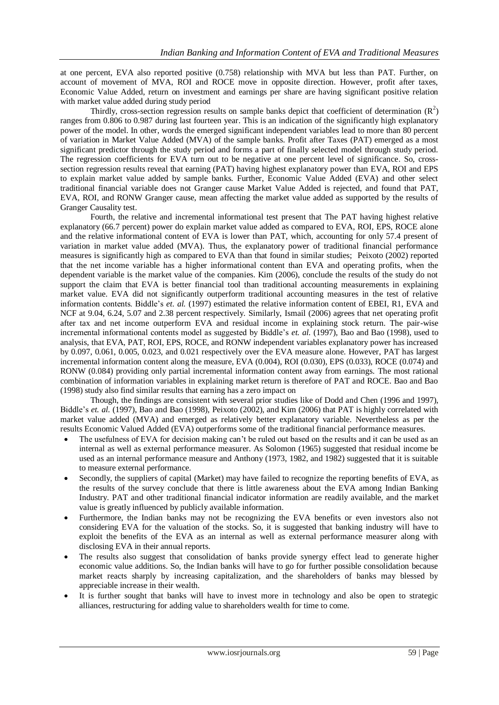at one percent, EVA also reported positive (0.758) relationship with MVA but less than PAT. Further, on account of movement of MVA, ROI and ROCE move in opposite direction. However, profit after taxes, Economic Value Added, return on investment and earnings per share are having significant positive relation with market value added during study period

Thirdly, cross-section regression results on sample banks depict that coefficient of determination  $(R^2)$ ranges from 0.806 to 0.987 during last fourteen year. This is an indication of the significantly high explanatory power of the model. In other, words the emerged significant independent variables lead to more than 80 percent of variation in Market Value Added (MVA) of the sample banks. Profit after Taxes (PAT) emerged as a most significant predictor through the study period and forms a part of finally selected model through study period. The regression coefficients for EVA turn out to be negative at one percent level of significance. So, crosssection regression results reveal that earning (PAT) having highest explanatory power than EVA, ROI and EPS to explain market value added by sample banks. Further, Economic Value Added (EVA) and other select traditional financial variable does not Granger cause Market Value Added is rejected, and found that PAT, EVA, ROI, and RONW Granger cause, mean affecting the market value added as supported by the results of Granger Causality test.

Fourth, the relative and incremental informational test present that The PAT having highest relative explanatory (66.7 percent) power do explain market value added as compared to EVA, ROI, EPS, ROCE alone and the relative informational content of EVA is lower than PAT, which, accounting for only 57.4 present of variation in market value added (MVA). Thus, the explanatory power of traditional financial performance measures is significantly high as compared to EVA than that found in similar studies; Peixoto (2002) reported that the net income variable has a higher informational content than EVA and operating profits, when the dependent variable is the market value of the companies. Kim (2006), conclude the results of the study do not support the claim that EVA is better financial tool than traditional accounting measurements in explaining market value. EVA did not significantly outperform traditional accounting measures in the test of relative information contents. Biddle's *et. al.* (1997) estimated the relative information content of EBEI, R1, EVA and NCF at 9.04, 6.24, 5.07 and 2.38 percent respectively. Similarly, Ismail (2006) agrees that net operating profit after tax and net income outperform EVA and residual income in explaining stock return. The pair-wise incremental informational contents model as suggested by Biddle's *et. al.* (1997), Bao and Bao (1998), used to analysis, that EVA, PAT, ROI, EPS, ROCE, and RONW independent variables explanatory power has increased by 0.097, 0.061, 0.005, 0.023, and 0.021 respectively over the EVA measure alone. However, PAT has largest incremental information content along the measure, EVA (0.004), ROI (0.030), EPS (0.033), ROCE (0.074) and RONW (0.084) providing only partial incremental information content away from earnings. The most rational combination of information variables in explaining market return is therefore of PAT and ROCE. Bao and Bao (1998) study also find similar results that earning has a zero impact on

Though, the findings are consistent with several prior studies like of Dodd and Chen (1996 and 1997), Biddle's *et. al.* (1997), Bao and Bao (1998), Peixoto (2002), and Kim (2006) that PAT is highly correlated with market value added (MVA) and emerged as relatively better explanatory variable. Nevertheless as per the results Economic Valued Added (EVA) outperforms some of the traditional financial performance measures.

- The usefulness of EVA for decision making can't be ruled out based on the results and it can be used as an internal as well as external performance measurer. As Solomon (1965) suggested that residual income be used as an internal performance measure and Anthony (1973, 1982, and 1982) suggested that it is suitable to measure external performance.
- Secondly, the suppliers of capital (Market) may have failed to recognize the reporting benefits of EVA, as the results of the survey conclude that there is little awareness about the EVA among Indian Banking Industry. PAT and other traditional financial indicator information are readily available, and the market value is greatly influenced by publicly available information.
- Furthermore, the Indian banks may not be recognizing the EVA benefits or even investors also not considering EVA for the valuation of the stocks. So, it is suggested that banking industry will have to exploit the benefits of the EVA as an internal as well as external performance measurer along with disclosing EVA in their annual reports.
- The results also suggest that consolidation of banks provide synergy effect lead to generate higher economic value additions. So, the Indian banks will have to go for further possible consolidation because market reacts sharply by increasing capitalization, and the shareholders of banks may blessed by appreciable increase in their wealth.
- It is further sought that banks will have to invest more in technology and also be open to strategic alliances, restructuring for adding value to shareholders wealth for time to come.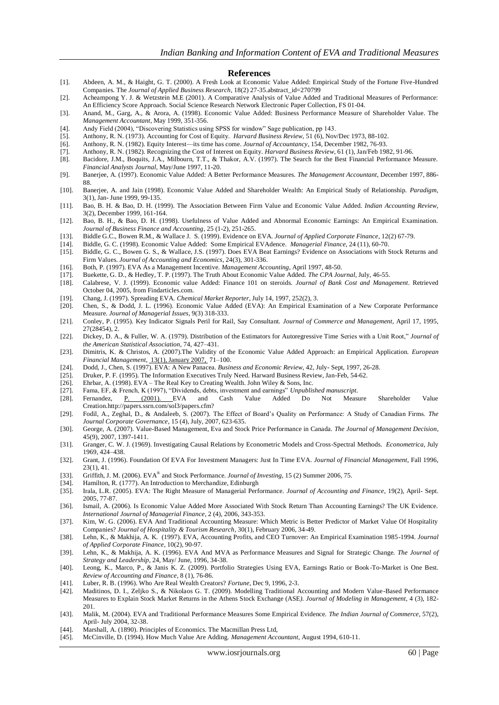#### **References**

- [1]. Abdeen, A. M., & Haight, G. T. (2000). A Fresh Look at Economic Value Added: Empirical Study of the Fortune Five-Hundred Companies. The *Journal of Applied Business Research*, 18(2) 27-35.abstract\_id=270799
- [2]. Acheampong Y. J. & Wetzstein M.E (2001). A Comparative Analysis of Value Added and Traditional Measures of Performance: An Efficiency Score Approach. Social Science Research Network Electronic Paper Collection, FS 01-04.
- [3]. Anand, M., Garg, A., & Arora, A. (1998). Economic Value Added: Business Performance Measure of Shareholder Value. The *Management Accountant*, May 1999, 351-356.
- [4]. Andy Field (2004), "Discovering Statistics using SPSS for window" Sage publication, pp 143.
- [5]. Anthony, R. N. (1973). Accounting for Cost of Equity. *Harvard Business Review*, 51 (6), Nov/Dec 1973, 88-102.
- [6]. Anthony, R. N. (1982). Equity Interest—its time has come. *Journal of Accountancy*, 154, December 1982, 76-93.
- [7]. Anthony, R. N. (1982). Recognizing the Cost of Interest on Equity. *Harvard Business Review*, 61 (1), Jan/Feb 1982, 91-96.
- [8]. Bacidore, J.M., Boquits, J.A., Milbourn, T.T., & Thakor, A.V. (1997). The Search for the Best Financial Performance Measure. *Financial Analysts Journal*, May/June 1997, 11-20.
- [9]. Banerjee, A. (1997). Economic Value Added: A Better Performance Measures. *The Management Accountant*, December 1997, 886- 88.
- [10]. Banerjee, A. and Jain (1998). Economic Value Added and Shareholder Wealth: An Empirical Study of Relationship. *Paradigm*, 3(1), Jan- June 1999, 99-135.
- [11]. Bao, B. H. & Bao, D. H. (1999). The Association Between Firm Value and Economic Value Added. *Indian Accounting Review*, 3(2), December 1999, 161-164.
- [12]. Bao, B. H., & Bao, D. H. (1998). Usefulness of Value Added and Abnormal Economic Earnings: An Empirical Examination. *Journal of Business Finance and Accounting*, 25 (1-2), 251-265.
- [13]. Biddle G.C., Bowen R.M., & Wallace J. S. (1999). Evidence on EVA. *Journal of Applied Corporate Finance*, 12(2) 67-79.
- [14]. Biddle, G. C. (1998). Economic Value Added: Some Empirical EVAdence*. Managerial Finance*, 24 (11), 60-70.
- [15]. Biddle, G. C., Bowen G. S., & Wallace, J.S. (1997). Does EVA Beat Earnings? Evidence on Associations with Stock Returns and Firm Values. *Journal of Accounting and Economics*, 24(3), 301-336.
- [16]. Both, P. (1997). EVA As a Management Incentive. *Management Accounting*, April 1997, 48-50.
- [17]. Buekette, G. D., & Hedley, T. P. (1997). The Truth About Economic Value Added. *The CPA Journal*, July, 46-55.
- [18]. Calabrese, V. J. (1999). Economic value Added: Finance 101 on steroids. *Journal of Bank Cost and Management*. Retrieved October 04, 2005, from Findarticles.com.
- [19]. Chang, J. (1997). Spreading EVA. *Chemical Market Reporter*, July 14, 1997, 252(2), 3.
- [20]. Chen, S., & Dodd, J. L. (1996). Economic Value Added (EVA): An Empirical Examination of a New Corporate Performance Measure. *Journal of Managerial Issues*, 9(3) 318-333.
- [21]. Conley, P. (1995). Key Indicator Signals Peril for Rail, Say Consultant. *Journal of Commerce and Management*, April 17, 1995, 27(28454), 2.
- [22]. Dickey, D. A., & Fuller, W. A. (1979). Distribution of the Estimators for Autoregressive Time Series with a Unit Root," Journal of *the American Statistical Association,* 74, 427–431.
- [23]. Dimitris, K. & Christos, A. (2007).The Validity of the Economic Value Added Approach: an Empirical Application. *European Financial Management*[, 13\(1\), January 2007,](http://onlinelibrary.wiley.com/doi/10.1111/eufm.2007.13.issue-1/issuetoc) 71–100.
- [24]. Dodd, J., Chen, S. (1997). EVA: A New Panacea. *Business and Economic Review*, 42, July- Sept, 1997, 26-28.
- [25]. Druker, P. F. (1995). The Information Executives Truly Need. Harward Business Review, Jan-Feb, 54-62. [26]. Ehrbar, A. (1998). EVA The Real Key to Creating Wealth. John Wiley & Sons, Inc.
- Ehrbar, A. (1998). EVA The Real Key to Creating Wealth. John Wiley & Sons, Inc.
- [27]. Fama, EF, & French, K (1997), "Dividends, debts, investment and earnings" *Unpublished manuscript*.
- [28]. Fernandez, [P. \(2001\). E](http://papers.ssrn.com/sol3/cf_dev/AbsByAuth.cfm?per_id=12696)VA and Cash Value Added Do Not Measure Shareholder Value Creation.http://papers.ssrn.com/sol3/papers.cfm?
- [29]. Fodil, A., Zeghal, D., & Andaleeb, S. (2007). The Effect of Board's Quality on Performance: A Study of Canadian Firms. *The Journal Corporate Governance*, 15 (4), July, 2007, 623-635.
- [30]. George, A. (2007). Value-Based Management, Eva and Stock Price Performance in Canada. *The Journal of Management Decision*, 45(9), 2007, 1397-1411.
- [31]. Granger, C. W. J. (1969). Investigating Causal Relations by Econometric Models and Cross-Spectral Methods. *Econometrica,* July 1969, 424–438.
- [32]. Grant, J. (1996). Foundation Of EVA For Investment Managers: Just In Time EVA. *Journal of Financial Management*, Fall 1996, 23(1), 41.
- [33]. Griffith, J. M. (2006). EVA® and Stock Performance. *Journal of Investing*, 15 (2) Summer 2006, 75.
- [34]. Hamilton, R. (1777). An Introduction to Merchandize, Edinburgh
- [35]. Irala, L.R. (2005). EVA: The Right Measure of Managerial Performance. *Journal of Accounting and Finance*, 19(2), April- Sept. 2005, 77-87.
- [36]. Ismail, A. (2006). Is Economic Value Added More Associated With Stock Return Than Accounting Earnings? The UK Evidence. *International Journal of Managerial Finance*, 2 (4), 2006, 343-353.
- [37]. Kim, W. G. (2006). EVA And Traditional Accounting Measure: Which Metric is Better Predictor of Market Value Of Hospitality Companies? *Journal of Hospitality & Tourism Research*, 30(1), February 2006, 34-49.
- [38]. Lehn, K., & Makhija, A. K. (1997). EVA, Accounting Profits, and CEO Turnover: An Empirical Examination 1985-1994. *Journal of Applied Corporate Finance*, 10(2), 90-97.
- [39]. Lehn, K., & Makhija, A. K. (1996). EVA And MVA as Performance Measures and Signal for Strategic Change*. The Journal of Strategy and Leadership*, 24, May/ June, 1996, 34-38.
- [40]. Leong, K., Marco, P., & Janis K. Z. (2009). Portfolio Strategies Using EVA, Earnings Ratio or Book-To-Market is One Best. *Review of Accounting and Finance*, 8 (1), 76-86.
- [41]. Luber, R. B. (1996). Who Are Real Wealth Creators? *Fortune*, Dec 9, 1996, 2-3.
- [42]. Maditinos, D. I., Zeljko S., & Nikolaos G. T. (2009). Modelling Traditional Accounting and Modern Value-Based Performance Measures to Explain Stock Market Returns in the Athens Stock Exchange (ASE*). Journal of Modeling in Management*, 4 (3), 182- 201.
- [43]. Malik, M. (2004). EVA and Traditional Performance Measures Some Empirical Evidence. *The Indian Journal of Commerce*, 57(2), April- July 2004, 32-38.
- [44]. Marshall, A. (1890). Principles of Economics. The Macmillan Press Ltd,
- [45]. McCinville, D. (1994). How Much Value Are Adding. *Management Accountant*, August 1994, 610-11.